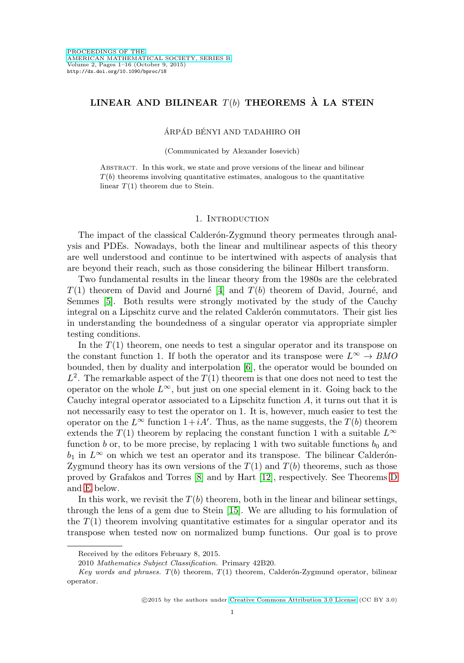# LINEAR AND BILINEAR  $T(b)$  THEOREMS  $\hat{A}$  LA STEIN

# ÁRPÁD BÉNYI AND TADAHIRO OH

(Communicated by Alexander Iosevich)

Abstract. In this work, we state and prove versions of the linear and bilinear  $T(b)$  theorems involving quantitative estimates, analogous to the quantitative linear  $T(1)$  theorem due to Stein.

#### 1. INTRODUCTION

The impact of the classical Calderon-Zygmund theory permeates through analysis and PDEs. Nowadays, both the linear and multilinear aspects of this theory are well understood and continue to be intertwined with aspects of analysis that are beyond their reach, such as those considering the bilinear Hilbert transform.

Two fundamental results in the linear theory from the 1980s are the celebrated  $T(1)$  theorem of David and Journé [\[4\]](#page-14-0) and  $T(b)$  theorem of David, Journé, and Semmes [\[5\]](#page-14-1). Both results were strongly motivated by the study of the Cauchy integral on a Lipschitz curve and the related Calderon commutators. Their gist lies in understanding the boundedness of a singular operator via appropriate simpler testing conditions.

In the  $T(1)$  theorem, one needs to test a singular operator and its transpose on the constant function 1. If both the operator and its transpose were  $L^{\infty} \to BMO$ bounded, then by duality and interpolation [\[6\]](#page-14-2), the operator would be bounded on  $L^2$ . The remarkable aspect of the  $T(1)$  theorem is that one does not need to test the operator on the whole  $L^{\infty}$ , but just on one special element in it. Going back to the Cauchy integral operator associated to a Lipschitz function  $A$ , it turns out that it is not necessarily easy to test the operator on 1. It is, however, much easier to test the operator on the  $L^{\infty}$  function  $1+iA'$ . Thus, as the name suggests, the  $T(b)$  theorem extends the  $T(1)$  theorem by replacing the constant function 1 with a suitable  $L^{\infty}$ function b or, to be more precise, by replacing 1 with two suitable functions  $b_0$  and  $b_1$  in  $L^\infty$  on which we test an operator and its transpose. The bilinear Calderón-Zygmund theory has its own versions of the  $T(1)$  and  $T(b)$  theorems, such as those proved by Grafakos and Torres [\[8\]](#page-14-3) and by Hart [\[12\]](#page-14-4), respectively. See Theorems [D](#page-5-0) and [E](#page-6-0) below.

In this work, we revisit the  $T(b)$  theorem, both in the linear and bilinear settings, through the lens of a gem due to Stein [\[15\]](#page-15-0). We are alluding to his formulation of the  $T(1)$  theorem involving quantitative estimates for a singular operator and its transpose when tested now on normalized bump functions. Our goal is to prove

Received by the editors February 8, 2015.

<sup>2010</sup> Mathematics Subject Classification. Primary 42B20.

Key words and phrases.  $T(b)$  theorem,  $T(1)$  theorem, Calderón-Zygmund operator, bilinear operator.

<sup>©2015</sup> by the authors under [Creative Commons Attribution 3.0 License](http://creativecommons.org/licenses/by/3.0/) (CC BY 3.0)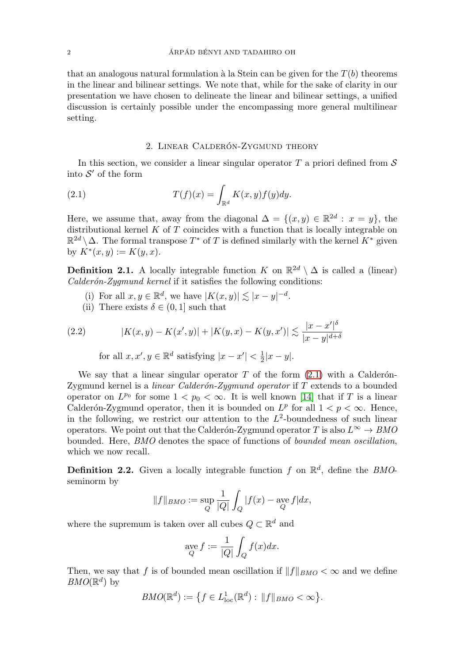that an analogous natural formulation à la Stein can be given for the  $T(b)$  theorems in the linear and bilinear settings. We note that, while for the sake of clarity in our presentation we have chosen to delineate the linear and bilinear settings, a unified discussion is certainly possible under the encompassing more general multilinear setting.

### 2. LINEAR CALDERÓN-ZYGMUND THEORY

<span id="page-1-1"></span>In this section, we consider a linear singular operator  $T$  a priori defined from  $\mathcal S$ into  $\mathcal{S}'$  of the form

<span id="page-1-0"></span>(2.1) 
$$
T(f)(x) = \int_{\mathbb{R}^d} K(x, y) f(y) dy.
$$

Here, we assume that, away from the diagonal  $\Delta = \{(x, y) \in \mathbb{R}^{2d} : x = y\}$ , the distributional kernel  $K$  of  $T$  coincides with a function that is locally integrable on  $\mathbb{R}^{2d} \setminus \Delta$ . The formal transpose  $T^*$  of T is defined similarly with the kernel  $K^*$  given by  $K^*(x, y) := K(y, x)$ .

**Definition 2.1.** A locally integrable function K on  $\mathbb{R}^{2d} \setminus \Delta$  is called a (linear)  $Calder\'on-Zygmund\, kernel$  if it satisfies the following conditions:

- (i) For all  $x, y \in \mathbb{R}^d$ , we have  $|K(x, y)| \lesssim |x y|^{-d}$ .
- (ii) There exists  $\delta \in (0,1]$  such that

<span id="page-1-2"></span>(2.2) 
$$
|K(x, y) - K(x', y)| + |K(y, x) - K(y, x')| \lesssim \frac{|x - x'|^{\delta}}{|x - y|^{d + \delta}}
$$
  
for all  $x, x', y \in \mathbb{R}^d$  satisfying  $|x - x'| < \frac{1}{2}|x - y|$ .

We say that a linear singular operator T of the form  $(2.1)$  with a Calderon-Zygmund kernel is a *linear Calderón-Zygmund operator* if  $T$  extends to a bounded operator on  $L^{p_0}$  for some  $1 < p_0 < \infty$ . It is well known [\[14\]](#page-15-1) that if T is a linear Calderón-Zygmund operator, then it is bounded on  $L^p$  for all  $1 < p < \infty$ . Hence, in the following, we restrict our attention to the  $L^2$ -boundedness of such linear operators. We point out that the Calderón-Zygmund operator T is also  $L^{\infty} \to BMO$ bounded. Here, BMO denotes the space of functions of bounded mean oscillation, which we now recall.

**Definition 2.2.** Given a locally integrable function f on  $\mathbb{R}^d$ , define the *BMO*seminorm by

$$
||f||_{BMO} := \sup_{Q} \frac{1}{|Q|} \int_{Q} |f(x) - \underset{Q}{\text{ave }} f| dx,
$$

where the supremum is taken over all cubes  $Q \subset \mathbb{R}^d$  and

$$
\operatorname*{age}_{Q} f := \frac{1}{|Q|} \int_{Q} f(x) dx.
$$

Then, we say that f is of bounded mean oscillation if  $||f||_{BMO} < \infty$  and we define  $BMO(\mathbb{R}^d)$  by

$$
BMO(\mathbb{R}^d) := \left\{ f \in L^1_{\text{loc}}(\mathbb{R}^d) : ||f||_{BMO} < \infty \right\}.
$$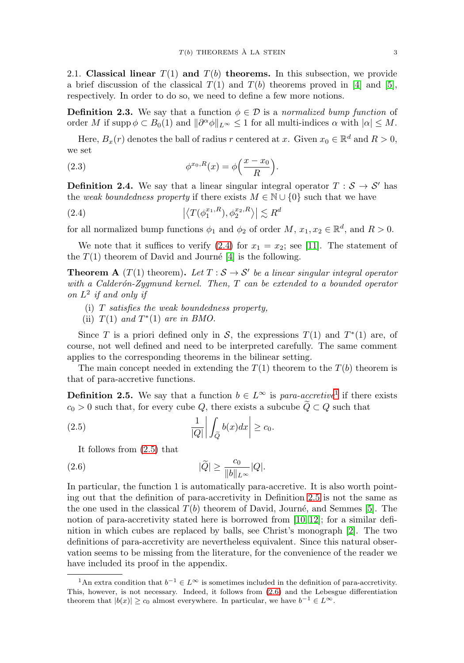2.1. **Classical linear**  $T(1)$  and  $T(b)$  **theorems.** In this subsection, we provide a brief discussion of the classical  $T(1)$  and  $T(b)$  theorems proved in [\[4\]](#page-14-0) and [\[5\]](#page-14-1), respectively. In order to do so, we need to define a few more notions.

**Definition 2.3.** We say that a function  $\phi \in \mathcal{D}$  is a normalized bump function of order M if supp  $\phi \subset B_0(1)$  and  $\|\partial^{\alpha}\phi\|_{L^{\infty}} \leq 1$  for all multi-indices  $\alpha$  with  $|\alpha| \leq M$ .

Here,  $B_x(r)$  denotes the ball of radius r centered at x. Given  $x_0 \in \mathbb{R}^d$  and  $R > 0$ , we set

<span id="page-2-6"></span>(2.3) 
$$
\phi^{x_0,R}(x) = \phi\left(\frac{x-x_0}{R}\right).
$$

**Definition 2.4.** We say that a linear singular integral operator  $T : \mathcal{S} \to \mathcal{S}'$  has the weak boundedness property if there exists  $M \in \mathbb{N} \cup \{0\}$  such that we have

<span id="page-2-0"></span>(2.4) 
$$
\left| \left\langle T(\phi_1^{x_1,R}), \phi_2^{x_2,R} \right\rangle \right| \lesssim R^d
$$

for all normalized bump functions  $\phi_1$  and  $\phi_2$  of order  $M$ ,  $x_1, x_2 \in \mathbb{R}^d$ , and  $R > 0$ .

We note that it suffices to verify  $(2.4)$  for  $x_1 = x_2$ ; see [\[11\]](#page-14-5). The statement of the  $T(1)$  theorem of David and Journé [\[4\]](#page-14-0) is the following.

<span id="page-2-5"></span>**Theorem A** (T(1) theorem). Let  $T : S \rightarrow S'$  be a linear singular integral operator with a Calderón-Zygmund kernel. Then,  $T$  can be extended to a bounded operator on  $L^2$  if and only if

- (i) T satisfies the weak boundedness property,
- (ii)  $T(1)$  and  $T^*(1)$  are in BMO.

Since T is a priori defined only in S, the expressions  $T(1)$  and  $T^*(1)$  are, of course, not well defined and need to be interpreted carefully. The same comment applies to the corresponding theorems in the bilinear setting.

The main concept needed in extending the  $T(1)$  theorem to the  $T(b)$  theorem is that of para-accretive functions.

<span id="page-2-3"></span>**Definition 2.5.** We say that a function  $b \in L^{\infty}$  is para-accretive<sup>[1](#page-2-1)</sup> if there exists  $c_0 > 0$  such that, for every cube Q, there exists a subcube  $\tilde{Q} \subset Q$  such that

<span id="page-2-2"></span>
$$
c_0 > 0
$$
 such that, for every cube Q, there exists a su  
\n(2.5) 
$$
\frac{1}{|Q|} \left| \int_{\tilde{Q}} b(x) dx \right| \ge c_0.
$$

It follows from [\(2.5\)](#page-2-2) that

<span id="page-2-4"></span>
$$
(2.6) \t\t |\widetilde{Q}| \ge \frac{c_0}{\|b\|_{L^\infty}}|Q|.
$$

In particular, the function 1 is automatically para-accretive. It is also worth pointing out that the definition of para-accretivity in Definition [2.5](#page-2-3) is not the same as the one used in the classical  $T(b)$  theorem of David, Journé, and Semmes [\[5\]](#page-14-1). The notion of para-accretivity stated here is borrowed from [\[10,](#page-14-6) [12\]](#page-14-4); for a similar definition in which cubes are replaced by balls, see Christ's monograph [\[2\]](#page-14-7). The two definitions of para-accretivity are nevertheless equivalent. Since this natural observation seems to be missing from the literature, for the convenience of the reader we have included its proof in the appendix.

<span id="page-2-1"></span><sup>&</sup>lt;sup>1</sup>An extra condition that  $b^{-1} \in L^{\infty}$  is sometimes included in the definition of para-accretivity. This, however, is not necessary. Indeed, it follows from [\(2.6\)](#page-2-4) and the Lebesgue differentiation theorem that  $|b(x)| \ge c_0$  almost everywhere. In particular, we have  $b^{-1} \in L^{\infty}$ .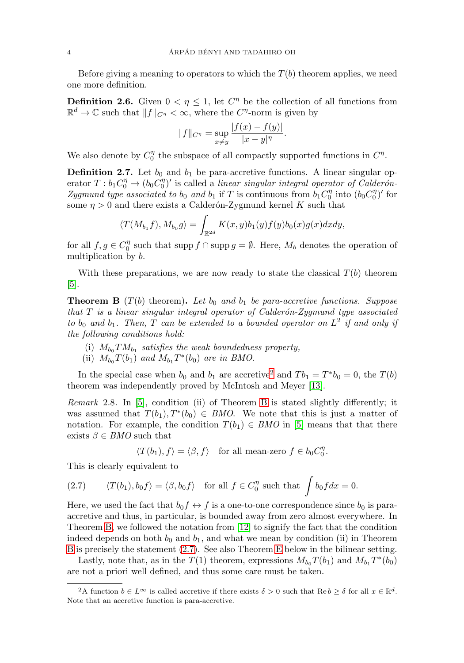Before giving a meaning to operators to which the  $T(b)$  theorem applies, we need one more definition.

**Definition 2.6.** Given  $0 < \eta \leq 1$ , let  $C^{\eta}$  be the collection of all functions from  $\mathbb{R}^d \to \mathbb{C}$  such that  $||f||_{C^{\eta}} < \infty$ , where the  $C^{\eta}$ -norm is given by

$$
||f||_{C^{\eta}} = \sup_{x \neq y} \frac{|f(x) - f(y)|}{|x - y|^{\eta}}.
$$

We also denote by  $C_0^{\eta}$  the subspace of all compactly supported functions in  $C^{\eta}$ .

**Definition 2.7.** Let  $b_0$  and  $b_1$  be para-accretive functions. A linear singular operator  $T : b_1 C_0^{\eta} \to (b_0 C_0^{\eta})'$  is called a linear singular integral operator of Calderón-Zygmund type associated to b<sub>0</sub> and b<sub>1</sub> if T is continuous from  $b_1C_0^{\eta}$  into  $(b_0C_0^{\eta})'$  for some  $\eta > 0$  and there exists a Calderón-Zygmund kernel K such that

$$
\langle T(M_{b_1}f), M_{b_0}g \rangle = \int_{\mathbb{R}^{2d}} K(x, y)b_1(y)f(y)b_0(x)g(x)dxdy,
$$

for all  $f, g \in C_0^{\eta}$  such that supp  $f \cap \text{supp } g = \emptyset$ . Here,  $M_b$  denotes the operation of multiplication by b.

With these preparations, we are now ready to state the classical  $T(b)$  theorem  $|5|$ .

<span id="page-3-1"></span>**Theorem B** ( $T(b)$  theorem). Let  $b_0$  and  $b_1$  be para-accretive functions. Suppose that  $T$  is a linear singular integral operator of Calderón-Zygmund type associated to  $b_0$  and  $b_1$ . Then, T can be extended to a bounded operator on  $L^2$  if and only if the following conditions hold:

- (i)  $M_{b_0} T M_{b_1}$  satisfies the weak boundedness property,
- (ii)  $M_{b_0}T(b_1)$  and  $M_{b_1}T^*(b_0)$  are in BMO.

In the special case when  $b_0$  and  $b_1$  are accretive<sup>[2](#page-3-0)</sup> and  $Tb_1 = T^*b_0 = 0$ , the  $T(b)$ theorem was independently proved by McIntosh and Meyer [\[13\]](#page-15-2).

<span id="page-3-3"></span>Remark 2.8. In [\[5\]](#page-14-1), condition (ii) of Theorem [B](#page-3-1) is stated slightly differently; it was assumed that  $T(b_1), T^*(b_0) \in BMO$ . We note that this is just a matter of notation. For example, the condition  $T(b_1) \in BMO$  in [\[5\]](#page-14-1) means that that there exists  $\beta \in BMO$  such that

 $\langle T(b_1), f \rangle = \langle \beta, f \rangle$  for all mean-zero  $f \in b_0 C_0^{\eta}$ .

This is clearly equivalent to

<span id="page-3-2"></span>(2.7) 
$$
\langle T(b_1), b_0 f \rangle = \langle \beta, b_0 f \rangle
$$
 for all  $f \in C_0^{\eta}$  such that  $\int b_0 f dx = 0$ .

Here, we used the fact that  $b_0 f \leftrightarrow f$  is a one-to-one correspondence since  $b_0$  is paraaccretive and thus, in particular, is bounded away from zero almost everywhere. In Theorem [B,](#page-3-1) we followed the notation from [\[12\]](#page-14-4) to signify the fact that the condition indeed depends on both  $b_0$  and  $b_1$ , and what we mean by condition (ii) in Theorem [B](#page-3-1) is precisely the statement [\(2.7\)](#page-3-2). See also Theorem [E](#page-6-0) below in the bilinear setting.

Lastly, note that, as in the  $T(1)$  theorem, expressions  $M_{b_0}T(b_1)$  and  $M_{b_1}T^*(b_0)$ are not a priori well defined, and thus some care must be taken.

<span id="page-3-0"></span><sup>&</sup>lt;sup>2</sup>A function  $b \in L^{\infty}$  is called accretive if there exists  $\delta > 0$  such that  $\text{Re } b \geq \delta$  for all  $x \in \mathbb{R}^d$ . Note that an accretive function is para-accretive.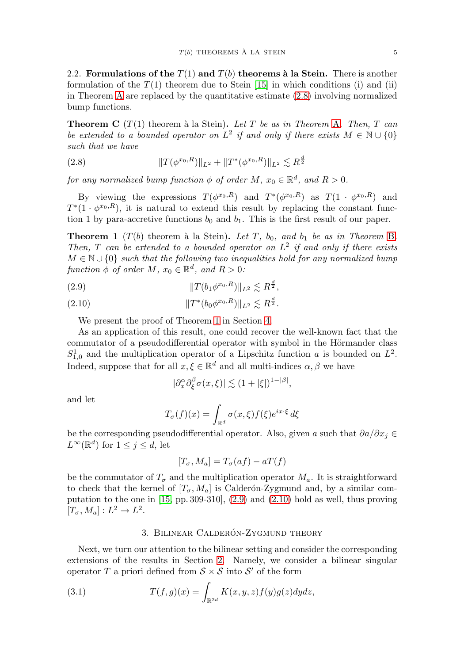2.2. **Formulations of the**  $T(1)$  and  $T(b)$  **theorems à la Stein.** There is another formulation of the  $T(1)$  theorem due to Stein [\[15\]](#page-15-0) in which conditions (i) and (ii) in Theorem [A](#page-2-5) are replaced by the quantitative estimate [\(2.8\)](#page-4-0) involving normalized bump functions.

<span id="page-4-5"></span>**Theorem C** ( $T(1)$  theorem à la Stein). Let T be as in Theorem [A](#page-2-5). Then, T can be extended to a bounded operator on  $L^2$  if and only if there exists  $M \in \mathbb{N} \cup \{0\}$ such that we have

<span id="page-4-0"></span>(2.8) 
$$
||T(\phi^{x_0,R})||_{L^2} + ||T^*(\phi^{x_0,R})||_{L^2} \lesssim R^{\frac{d}{2}}
$$

for any normalized bump function  $\phi$  of order M,  $x_0 \in \mathbb{R}^d$ , and  $R > 0$ .

By viewing the expressions  $T(\phi^{x_0,R})$  and  $T^*(\phi^{x_0,R})$  as  $T(1 \cdot \phi^{x_0,R})$  and  $T^*(1 \cdot \phi^{x_0,R})$ , it is natural to extend this result by replacing the constant function 1 by para-accretive functions  $b_0$  and  $b_1$ . This is the first result of our paper.

<span id="page-4-1"></span>**Theorem 1** ( $T(b)$  theorem à la Stein). Let T,  $b_0$ , and  $b_1$  be as in Theorem [B](#page-3-1). Then, T can be extended to a bounded operator on  $L^2$  if and only if there exists  $M \in \mathbb{N} \cup \{0\}$  such that the following two inequalities hold for any normalized bump function  $\phi$  of order M,  $x_0 \in \mathbb{R}^d$ , and  $R > 0$ :

<span id="page-4-2"></span>(2.9) 
$$
||T(b_1\phi^{x_0,R})||_{L^2} \lesssim R^{\frac{d}{2}},
$$

<span id="page-4-3"></span>(2.10) 
$$
||T^*(b_0\phi^{x_0,R})||_{L^2} \lesssim R^{\frac{d}{2}}.
$$

We present the proof of Theorem [1](#page-4-1) in Section [4.](#page-7-0)

As an application of this result, one could recover the well-known fact that the commutator of a pseudodifferential operator with symbol in the Hörmander class  $S_{1,0}^1$  and the multiplication operator of a Lipschitz function a is bounded on  $L^2$ . Indeed, suppose that for all  $x, \xi \in \mathbb{R}^d$  and all multi-indices  $\alpha, \beta$  we have

$$
|\partial_x^{\alpha} \partial_{\xi}^{\beta} \sigma(x,\xi)| \lesssim (1+|\xi|)^{1-|\beta|},
$$

and let

$$
T_{\sigma}(f)(x) = \int_{\mathbb{R}^d} \sigma(x,\xi) f(\xi) e^{ix \cdot \xi} d\xi
$$

be the corresponding pseudodifferential operator. Also, given a such that  $\partial a/\partial x_i \in$  $L^{\infty}(\mathbb{R}^d)$  for  $1 \leq j \leq d$ , let

$$
[T_{\sigma}, M_a] = T_{\sigma}(af) - aT(f)
$$

be the commutator of  $T_{\sigma}$  and the multiplication operator  $M_a$ . It is straightforward to check that the kernel of  $[T_{\sigma}, M_a]$  is Calderón-Zygmund and, by a similar computation to the one in [\[15,](#page-15-0) pp. 309-310], [\(2.9\)](#page-4-2) and [\(2.10\)](#page-4-3) hold as well, thus proving  $[T_{\sigma}, M_a] : L^2 \to L^2.$ 

### 3. BILINEAR CALDERÓN-ZYGMUND THEORY

Next, we turn our attention to the bilinear setting and consider the corresponding extensions of the results in Section [2.](#page-1-1) Namely, we consider a bilinear singular operator T a priori defined from  $S \times S$  into S' of the form

<span id="page-4-4"></span>(3.1) 
$$
T(f,g)(x) = \int_{\mathbb{R}^{2d}} K(x,y,z)f(y)g(z)dydz,
$$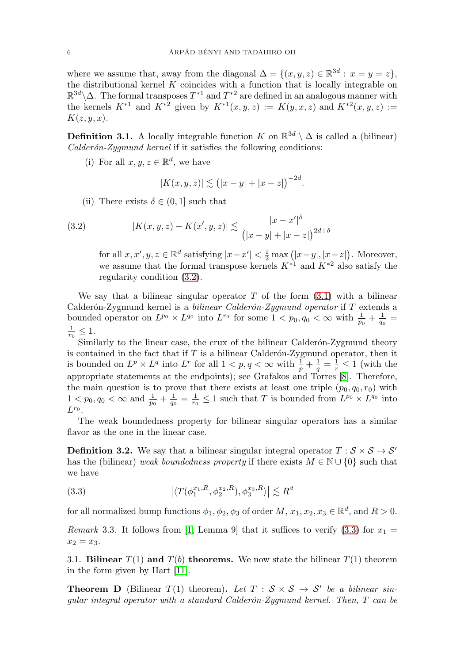where we assume that, away from the diagonal  $\Delta = \{(x, y, z) \in \mathbb{R}^{3d} : x = y = z\},\$ the distributional kernel  $K$  coincides with a function that is locally integrable on  $\mathbb{R}^{3d}\backslash\Delta$ . The formal transposes  $T^{*1}$  and  $T^{*2}$  are defined in an analogous manner with the kernels  $K^{*1}$  and  $K^{*2}$  given by  $K^{*1}(x, y, z) := K(y, x, z)$  and  $K^{*2}(x, y, z) :=$  $K(z, y, x)$ .

<span id="page-5-3"></span>**Definition 3.1.** A locally integrable function K on  $\mathbb{R}^{3d} \setminus \Delta$  is called a (bilinear)  $Calder\'on-Zygmund, kernel if it satisfies the following conditions:$ 

(i) For all  $x, y, z \in \mathbb{R}^d$ , we have

$$
|K(x, y, z)| \lesssim (|x - y| + |x - z|)^{-2d}.
$$

(ii) There exists  $\delta \in (0,1]$  such that

<span id="page-5-1"></span>(3.2) 
$$
|K(x, y, z) - K(x', y, z)| \lesssim \frac{|x - x'|^{\delta}}{(|x - y| + |x - z|)^{2d + \delta}}
$$

for all  $x, x', y, z \in \mathbb{R}^d$  satisfying  $|x-x'| < \frac{1}{2} \max (|x-y|, |x-z|)$ . Moreover, we assume that the formal transpose kernels  $K^{*1}$  and  $K^{*2}$  also satisfy the regularity condition [\(3.2\)](#page-5-1).

We say that a bilinear singular operator  $T$  of the form  $(3.1)$  with a bilinear Calderón-Zygmund kernel is a bilinear Calderón-Zygmund operator if  $T$  extends a bounded operator on  $L^{p_0} \times L^{q_0}$  into  $L^{r_0}$  for some  $1 < p_0, q_0 < \infty$  with  $\frac{1}{p_0} + \frac{1}{q_0} =$  $\frac{1}{r_0} \leq 1.$ 

Similarly to the linear case, the crux of the bilinear Calderón-Zygmund theory is contained in the fact that if  $T$  is a bilinear Calderón-Zygmund operator, then it is bounded on  $L^p \times L^q$  into  $L^r$  for all  $1 < p, q < \infty$  with  $\frac{1}{p} + \frac{1}{q} = \frac{1}{r} \leq 1$  (with the appropriate statements at the endpoints); see Grafakos and Torres [\[8\]](#page-14-3). Therefore, the main question is to prove that there exists at least one triple  $(p_0, q_0, r_0)$  with  $1 < p_0, q_0 < \infty$  and  $\frac{1}{p_0} + \frac{1}{q_0} = \frac{1}{r_0} \leq 1$  such that T is bounded from  $L^{p_0} \times L^{q_0}$  into  $L^{r_0}$ .

The weak boundedness property for bilinear singular operators has a similar flavor as the one in the linear case.

**Definition 3.2.** We say that a bilinear singular integral operator  $T : \mathcal{S} \times \mathcal{S} \rightarrow \mathcal{S}'$ has the (bilinear) weak boundedness property if there exists  $M \in \mathbb{N} \cup \{0\}$  such that we have

<span id="page-5-2"></span>(3.3) 
$$
\left| \langle T(\phi_1^{x_1,R}, \phi_2^{x_2,R}), \phi_3^{x_3,R} \rangle \right| \lesssim R^d
$$

for all normalized bump functions  $\phi_1, \phi_2, \phi_3$  of order  $M, x_1, x_2, x_3 \in \mathbb{R}^d$ , and  $R > 0$ .

Remark 3.3. It follows from [\[1,](#page-14-8) Lemma 9] that it suffices to verify [\(3.3\)](#page-5-2) for  $x_1 =$  $x_2 = x_3.$ 

3.1. **Bilinear**  $T(1)$  and  $T(b)$  **theorems.** We now state the bilinear  $T(1)$  theorem in the form given by Hart [\[11\]](#page-14-5).

<span id="page-5-0"></span>**Theorem D** (Bilinear  $T(1)$  theorem). Let  $T : S \times S \rightarrow S'$  be a bilinear singular integral operator with a standard Calderón-Zygmund kernel. Then,  $T$  can be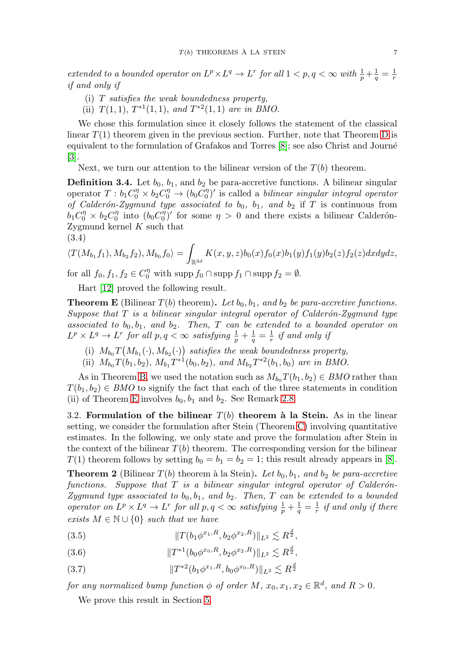extended to a bounded operator on  $L^p \times L^q \to L^r$  for all  $1 < p, q < \infty$  with  $\frac{1}{p} + \frac{1}{q} = \frac{1}{r}$ if and only if

- (i) T satisfies the weak boundedness property,
- (ii)  $T(1, 1), T^{*1}(1, 1),$  and  $T^{*2}(1, 1)$  are in BMO.

We chose this formulation since it closely follows the statement of the classical linear  $T(1)$  theorem given in the previous section. Further, note that Theorem [D](#page-5-0) is equivalent to the formulation of Grafakos and Torres [\[8\]](#page-14-3); see also Christ and Journé [\[3\]](#page-14-9).

Next, we turn our attention to the bilinear version of the  $T(b)$  theorem.

**Definition 3.4.** Let  $b_0$ ,  $b_1$ , and  $b_2$  be para-accretive functions. A bilinear singular operator  $T : b_1 C_0^{\eta} \times b_2 C_0^{\eta} \to (b_0 C_0^{\eta})'$  is called a *bilinear singular integral operator* of Calderón-Zygmund type associated to  $b_0$ ,  $b_1$ , and  $b_2$  if T is continuous from  $b_1 C_0^{\eta} \times b_2 C_0^{\eta}$  into  $(b_0 C_0^{\eta})'$  for some  $\eta > 0$  and there exists a bilinear Calderón-Zygmund kernel K such that (3.4)

<span id="page-6-5"></span>
$$
\langle T(M_{b_1}f_1), M_{b_2}f_2), M_{b_0}f_0 \rangle = \int_{\mathbb{R}^{3d}} K(x, y, z)b_0(x)f_0(x)b_1(y)f_1(y)b_2(z)f_2(z)dxdydz,
$$

for all  $f_0, f_1, f_2 \in C_0^{\eta}$  with supp  $f_0 \cap \text{supp } f_1 \cap \text{supp } f_2 = \emptyset$ .

Hart [\[12\]](#page-14-4) proved the following result.

<span id="page-6-0"></span>**Theorem E** (Bilinear  $T(b)$  theorem). Let  $b_0, b_1,$  and  $b_2$  be para-accretive functions. Suppose that  $T$  is a bilinear singular integral operator of Calderón-Zygmund type associated to  $b_0, b_1,$  and  $b_2$ . Then, T can be extended to a bounded operator on  $L^p \times L^q \to L^r$  for all  $p, q < \infty$  satisfying  $\frac{1}{p} + \frac{1}{q} = \frac{1}{r}$  if and only if

- (i)  $M_{b_0}T(M_{b_1}(\cdot), M_{b_2}(\cdot))$  satisfies the weak boundedness property,
- (ii)  $M_{b_0}T(b_1, b_2)$ ,  $M_{b_1}T^{*1}(b_0, b_2)$ , and  $M_{b_2}T^{*2}(b_1, b_0)$  are in BMO.

As in Theorem [B,](#page-3-1) we used the notation such as  $M_{b_0}T(b_1, b_2) \in BMO$  rather than  $T(b_1, b_2) \in BMO$  to signify the fact that each of the three statements in condition (ii) of Theorem [E](#page-6-0) involves  $b_0$ ,  $b_1$  and  $b_2$ . See Remark [2.8.](#page-3-3)

3.2. **Formulation of the bilinear**  $T(b)$  **theorem à la Stein.** As in the linear setting, we consider the formulation after Stein (Theorem [C\)](#page-4-5) involving quantitative estimates. In the following, we only state and prove the formulation after Stein in the context of the bilinear  $T(b)$  theorem. The corresponding version for the bilinear  $T(1)$  theorem follows by setting  $b_0 = b_1 = b_2 = 1$ ; this result already appears in [\[8\]](#page-14-3).

<span id="page-6-1"></span>**Theorem 2** (Bilinear  $T(b)$  theorem à la Stein). Let  $b_0, b_1,$  and  $b_2$  be para-accretive functions. Suppose that  $T$  is a bilinear singular integral operator of Calderón-Zygmund type associated to  $b_0, b_1$ , and  $b_2$ . Then, T can be extended to a bounded operator on  $L^p \times L^q \to L^r$  for all  $p, q < \infty$  satisfying  $\frac{1}{p} + \frac{1}{q} = \frac{1}{r}$  if and only if there exists  $M \in \mathbb{N} \cup \{0\}$  such that we have

<span id="page-6-2"></span>(3.5) 
$$
||T(b_1\phi^{x_1,R}, b_2\phi^{x_2,R})||_{L^2} \lesssim R^{\frac{d}{2}},
$$

- <span id="page-6-3"></span>(3.6)  $||T^{*1}(b_0\phi^{x_0,R}, b_2\phi^{x_2,R})||_{L^2} \lesssim R^{\frac{d}{2}},$
- <span id="page-6-4"></span>(3.7)  $\|T^{*2}(b_1\phi^{x_1,R}, b_0\phi^{x_0,R})\|_{L^2} \lesssim R^{\frac{d}{2}}$

for any normalized bump function  $\phi$  of order M,  $x_0, x_1, x_2 \in \mathbb{R}^d$ , and  $R > 0$ .

We prove this result in Section [5.](#page-9-0)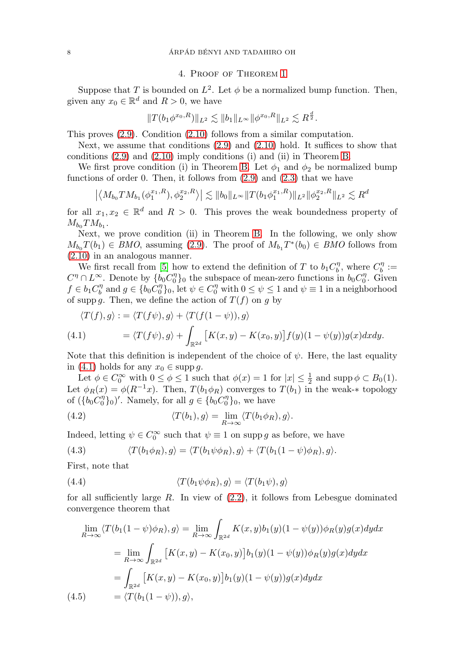# 4. Proof of Theorem [1](#page-4-1)

<span id="page-7-0"></span>Suppose that T is bounded on  $L^2$ . Let  $\phi$  be a normalized bump function. Then, given any  $x_0 \in \mathbb{R}^d$  and  $R > 0$ , we have

$$
||T(b_1\phi^{x_0,R})||_{L^2}\lesssim ||b_1||_{L^\infty}||\phi^{x_0,R}||_{L^2}\lesssim R^{\frac{d}{2}}.
$$

This proves [\(2.9\)](#page-4-2). Condition [\(2.10\)](#page-4-3) follows from a similar computation.

Next, we assume that conditions  $(2.9)$  and  $(2.10)$  hold. It suffices to show that conditions [\(2.9\)](#page-4-2) and [\(2.10\)](#page-4-3) imply conditions (i) and (ii) in Theorem [B.](#page-3-1)

We first prove condition (i) in Theorem [B.](#page-3-1) Let  $\phi_1$  and  $\phi_2$  be normalized bump functions of order 0. Then, it follows from  $(2.9)$  and  $(2.3)$  that we have

$$
\left| \langle M_{b_0} T M_{b_1}(\phi_1^{x_1, R}), \phi_2^{x_2, R} \rangle \right| \lesssim \|b_0\|_{L^\infty} \|T(b_1 \phi_1^{x_1, R})\|_{L^2} \|\phi_2^{x_2, R}\|_{L^2} \lesssim R^d
$$

for all  $x_1, x_2 \in \mathbb{R}^d$  and  $R > 0$ . This proves the weak boundedness property of  $M_{b_0}TM_{b_1}$ .

Next, we prove condition (ii) in Theorem [B.](#page-3-1) In the following, we only show  $M_{b_0} T(b_1) \in BMO$ , assuming [\(2.9\)](#page-4-2). The proof of  $M_{b_1} T^*(b_0) \in BMO$  follows from [\(2.10\)](#page-4-3) in an analogous manner.

We first recall from [\[5\]](#page-14-1) how to extend the definition of T to  $b_1 C_b^{\eta}$ , where  $C_b^{\eta}$  :=  $C^{\eta} \cap L^{\infty}$ . Denote by  $\{b_0 C_0^{\eta}\}$  the subspace of mean-zero functions in  $b_0 C_0^{\eta}$ . Given  $f \in b_1 C_b^{\eta}$  and  $g \in \{b_0 C_0^{\eta}\}_0$ , let  $\psi \in C_0^{\eta}$  with  $0 \le \psi \le 1$  and  $\psi \equiv 1$  in a neighborhood of supp g. Then, we define the action of  $T(f)$  on g by

<span id="page-7-1"></span>
$$
\langle T(f), g \rangle := \langle T(f\psi), g \rangle + \langle T(f(1-\psi)), g \rangle
$$
  
(4.1) 
$$
= \langle T(f\psi), g \rangle + \int_{\mathbb{R}^{2d}} \left[ K(x, y) - K(x_0, y) \right] f(y) (1 - \psi(y)) g(x) dx dy.
$$

Note that this definition is independent of the choice of  $\psi$ . Here, the last equality in [\(4.1\)](#page-7-1) holds for any  $x_0 \in \text{supp } g$ .

Let  $\phi \in C_0^{\infty}$  with  $0 \le \phi \le 1$  such that  $\phi(x) = 1$  for  $|x| \le \frac{1}{2}$  and supp  $\phi \subset B_0(1)$ . Let  $\phi_R(x) = \phi(R^{-1}x)$ . Then,  $T(b_1\phi_R)$  converges to  $T(b_1)$  in the weak-\* topology of  $({b_0}C_0^{\eta}]_0)'$ . Namely, for all  $g \in {b_0}C_0^{\eta}$ , we have

<span id="page-7-2"></span>(4.2) 
$$
\langle T(b_1), g \rangle = \lim_{R \to \infty} \langle T(b_1 \phi_R), g \rangle.
$$

Indeed, letting  $\psi \in C_0^{\infty}$  such that  $\psi \equiv 1$  on supp g as before, we have

<span id="page-7-3"></span>(4.3) 
$$
\langle T(b_1 \phi_R), g \rangle = \langle T(b_1 \psi \phi_R), g \rangle + \langle T(b_1(1-\psi)\phi_R), g \rangle.
$$

First, note that

<span id="page-7-4"></span>(4.4) 
$$
\langle T(b_1 \psi \phi_R), g \rangle = \langle T(b_1 \psi), g \rangle
$$

for all sufficiently large  $R$ . In view of  $(2.2)$ , it follows from Lebesgue dominated convergence theorem that

<span id="page-7-5"></span>
$$
\lim_{R \to \infty} \langle T(b_1(1-\psi)\phi_R), g \rangle = \lim_{R \to \infty} \int_{\mathbb{R}^{2d}} K(x, y)b_1(y)(1-\psi(y))\phi_R(y)g(x)dydx
$$

$$
= \lim_{R \to \infty} \int_{\mathbb{R}^{2d}} \left[ K(x, y) - K(x_0, y) \right] b_1(y)(1-\psi(y))\phi_R(y)g(x)dydx
$$

$$
= \int_{\mathbb{R}^{2d}} \left[ K(x, y) - K(x_0, y) \right] b_1(y)(1-\psi(y))g(x)dydx
$$

$$
(4.5) \qquad = \langle T(b_1(1-\psi)), g \rangle,
$$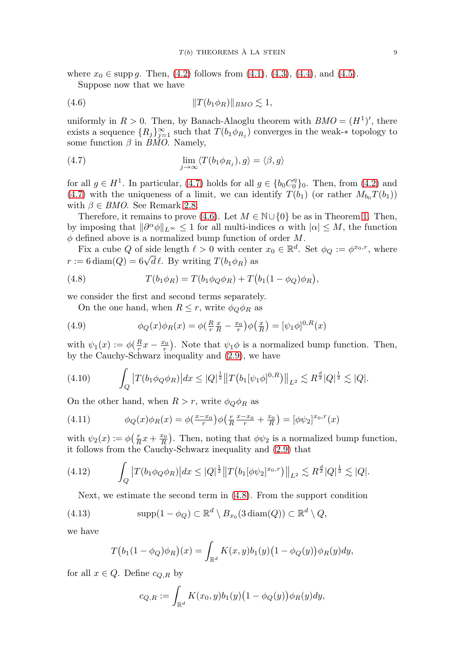where  $x_0 \in \text{supp } g$ . Then, [\(4.2\)](#page-7-2) follows from [\(4.1\)](#page-7-1), [\(4.3\)](#page-7-3), [\(4.4\)](#page-7-4), and [\(4.5\)](#page-7-5).

Suppose now that we have

<span id="page-8-1"></span>(4.6) T(b1φR)BMO -1,

uniformly in  $R > 0$ . Then, by Banach-Alaoglu theorem with  $BMO = (H^1)'$ , there exists a sequence  $\{R_j\}_{j=1}^{\infty}$  such that  $T(b_1\phi_{R_j})$  converges in the weak- $*$  topology to some function  $\beta$  in BMO. Namely,

<span id="page-8-0"></span>(4.7) 
$$
\lim_{j \to \infty} \langle T(b_1 \phi_{R_j}), g \rangle = \langle \beta, g \rangle
$$

for all  $g \in H^1$ . In particular, [\(4.7\)](#page-8-0) holds for all  $g \in \{b_0 C_0^{\eta}\}_0$ . Then, from [\(4.2\)](#page-7-2) and [\(4.7\)](#page-8-0) with the uniqueness of a limit, we can identify  $T(b_1)$  (or rather  $M_{b_0}T(b_1)$ ) with  $\beta \in BMO$ . See Remark [2.8.](#page-3-3)

Therefore, it remains to prove [\(4.6\)](#page-8-1). Let  $M \in \mathbb{N} \cup \{0\}$  be as in Theorem [1.](#page-4-1) Then, by imposing that  $\|\partial^{\alpha}\phi\|_{L^{\infty}} \leq 1$  for all multi-indices  $\alpha$  with  $|\alpha| \leq M$ , the function  $\phi$  defined above is a normalized bump function of order M.

Fix a cube Q of side length  $\ell > 0$  with center  $x_0 \in \mathbb{R}^d$ . Set  $\phi_Q := \phi^{x_0, r}$ , where r ix a cube Q of side length  $\ell > 0$  with center  $r := 6 \text{ diam}(Q) = 6\sqrt{d} \ell$ . By writing  $T(b_1 \phi_R)$  as

<span id="page-8-2"></span>(4.8) 
$$
T(b_1 \phi_R) = T(b_1 \phi_Q \phi_R) + T(b_1(1 - \phi_Q)\phi_R),
$$

we consider the first and second terms separately.

On the one hand, when  $R \leq r$ , write  $\phi_Q \phi_R$  as

<span id="page-8-6"></span>(4.9) 
$$
\phi_Q(x)\phi_R(x) = \phi(\frac{R}{r}\frac{x}{R} - \frac{x_0}{r})\phi(\frac{x}{R}) = [\psi_1\phi]^{0,R}(x)
$$

with  $\psi_1(x) := \phi(\frac{R}{r}x - \frac{x_0}{r})$ . Note that  $\psi_1\phi$  is a normalized bump function. Then, by the Cauchy-Schwarz inequality and [\(2.9\)](#page-4-2), we have

<span id="page-8-4"></span>
$$
(4.10) \qquad \int_{Q} \left| T(b_{1}\phi_{Q}\phi_{R}) \right| dx \leq |Q|^{\frac{1}{2}} \left\| T(b_{1}[\psi_{1}\phi]^{0,R}) \right\|_{L^{2}} \lesssim R^{\frac{d}{2}} |Q|^{\frac{1}{2}} \lesssim |Q|.
$$

On the other hand, when  $R>r$ , write  $\phi_{Q}\phi_{R}$  as

<span id="page-8-7"></span>(4.11) 
$$
\phi_Q(x)\phi_R(x) = \phi(\frac{x-x_0}{r})\phi(\frac{r}{R}\frac{x-x_0}{r} + \frac{x_0}{R}) = [\phi\psi_2]^{x_0,r}(x)
$$

with  $\psi_2(x) := \phi\left(\frac{r}{R}x + \frac{x_0}{R}\right)$ . Then, noting that  $\phi\psi_2$  is a normalized bump function, it follows from the Cauchy-Schwarz inequality and [\(2.9\)](#page-4-2) that

<span id="page-8-5"></span>
$$
(4.12) \qquad \int_{Q} \left| T(b_{1}\phi_{Q}\phi_{R}) \right| dx \leq |Q|^{\frac{1}{2}} \left\| T(b_{1}[\phi\psi_{2}]^{x_{0},r}) \right\|_{L^{2}} \lesssim R^{\frac{d}{2}} |Q|^{\frac{1}{2}} \lesssim |Q|.
$$

Next, we estimate the second term in [\(4.8\)](#page-8-2). From the support condition

<span id="page-8-3"></span>(4.13) 
$$
\mathrm{supp}(1-\phi_Q) \subset \mathbb{R}^d \setminus B_{x_0}(3\mathrm{diam}(Q)) \subset \mathbb{R}^d \setminus Q,
$$

we have

$$
T(b_1(1-\phi_Q)\phi_R)(x) = \int_{\mathbb{R}^d} K(x,y)b_1(y)\big(1-\phi_Q(y)\big)\phi_R(y)dy,
$$

for all  $x \in Q$ . Define  $c_{Q,R}$  by

$$
c_{Q,R} := \int_{\mathbb{R}^d} K(x_0, y) b_1(y) \big(1 - \phi_Q(y)\big) \phi_R(y) dy,
$$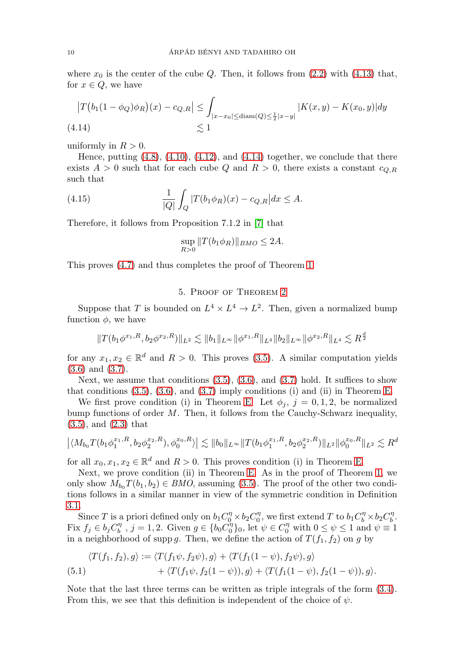where  $x_0$  is the center of the cube Q. Then, it follows from  $(2.2)$  with  $(4.13)$  that, for  $x \in Q$ , we have

<span id="page-9-1"></span>
$$
\begin{aligned} \left| T(b_1(1 - \phi_Q)\phi_R)(x) - c_{Q,R} \right| &\leq \int_{|x - x_0| \leq \text{diam}(Q) \leq \frac{1}{2}|x - y|} |K(x, y) - K(x_0, y)| dy \\ &\leq 1 \end{aligned}
$$
\n
$$
(4.14)
$$

uniformly in  $R > 0$ .

Hence, putting  $(4.8)$ ,  $(4.10)$ ,  $(4.12)$ , and  $(4.14)$  together, we conclude that there exists  $A > 0$  such that for each cube Q and  $R > 0$ , there exists a constant  $c_{Q,R}$ such that

(4.15) 
$$
\frac{1}{|Q|} \int_Q |T(b_1 \phi_R)(x) - c_{Q,R}| dx \leq A.
$$

Therefore, it follows from Proposition 7.1.2 in [\[7\]](#page-14-10) that

$$
\sup_{R>0} ||T(b_1\phi_R)||_{BMO} \le 2A.
$$

<span id="page-9-0"></span>This proves [\(4.7\)](#page-8-0) and thus completes the proof of Theorem [1.](#page-4-1)

# 5. Proof of Theorem [2](#page-6-1)

Suppose that T is bounded on  $L^4 \times L^4 \rightarrow L^2$ . Then, given a normalized bump function  $\phi$ , we have

$$
||T(b_1\phi^{x_1,R}, b_2\phi^{x_2,R})||_{L^2} \lesssim ||b_1||_{L^\infty} ||\phi^{x_1,R}||_{L^4} ||b_2||_{L^\infty} ||\phi^{x_2,R}||_{L^4} \lesssim R^{\frac{d}{2}}
$$

for any  $x_1, x_2 \in \mathbb{R}^d$  and  $R > 0$ . This proves [\(3.5\)](#page-6-2). A similar computation yields [\(3.6\)](#page-6-3) and [\(3.7\)](#page-6-4).

Next, we assume that conditions  $(3.5)$ ,  $(3.6)$ , and  $(3.7)$  hold. It suffices to show that conditions  $(3.5)$ ,  $(3.6)$ , and  $(3.7)$  imply conditions (i) and (ii) in Theorem [E.](#page-6-0)

We first prove condition (i) in Theorem [E.](#page-6-0) Let  $\phi_i$ ,  $j = 0, 1, 2$ , be normalized bump functions of order  $M$ . Then, it follows from the Cauchy-Schwarz inequality, [\(3.5\)](#page-6-2), and [\(2.3\)](#page-2-6) that

$$
\left| \langle M_{b_0} T(b_1 \phi_1^{x_1, R}, b_2 \phi_2^{x_2, R}), \phi_0^{x_0, R} \rangle \right| \lesssim \|b_0\|_{L^\infty} \|T(b_1 \phi_1^{x_1, R}, b_2 \phi_2^{x_2, R})\|_{L^2} \|\phi_0^{x_0, R}\|_{L^2} \lesssim R^d
$$

for all  $x_0, x_1, x_2 \in \mathbb{R}^d$  and  $R > 0$ . This proves condition (i) in Theorem [E.](#page-6-0)

Next, we prove condition (ii) in Theorem [E.](#page-6-0) As in the proof of Theorem [1,](#page-4-1) we only show  $M_{b_0}T(b_1, b_2) \in BMO$ , assuming [\(3.5\)](#page-6-2). The proof of the other two conditions follows in a similar manner in view of the symmetric condition in Definition [3.1.](#page-5-3)

Since T is a priori defined only on  $b_1 C_0^{\eta} \times b_2 C_0^{\eta}$ , we first extend T to  $b_1 C_0^{\eta} \times b_2 C_0^{\eta}$ . Fix  $f_j \in b_j C_b^{\eta}$ ,  $j = 1, 2$ . Given  $g \in \{b_0 C_0^{\eta}\}_0$ , let  $\psi \in C_0^{\eta}$  with  $0 \le \psi \le 1$  and  $\psi \equiv 1$ in a neighborhood of supp g. Then, we define the action of  $T(f_1, f_2)$  on g by

(5.1) 
$$
\langle T(f_1, f_2), g \rangle := \langle T(f_1\psi, f_2\psi), g \rangle + \langle T(f_1(1-\psi), f_2\psi), g \rangle + \langle T(f_1\psi, f_2(1-\psi)), g \rangle + \langle T(f_1(1-\psi), f_2(1-\psi)), g \rangle.
$$

Note that the last three terms can be written as triple integrals of the form [\(3.4\)](#page-6-5). From this, we see that this definition is independent of the choice of  $\psi$ .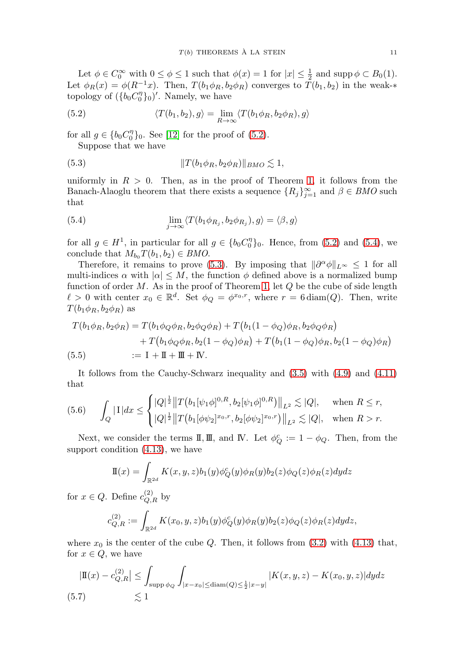Let  $\phi \in C_0^{\infty}$  with  $0 \le \phi \le 1$  such that  $\phi(x) = 1$  for  $|x| \le \frac{1}{2}$  and supp  $\phi \subset B_0(1)$ . Let  $\phi_R(x) = \phi(R^{-1}x)$ . Then,  $T(b_1\phi_R, b_2\phi_R)$  converges to  $T(b_1, b_2)$  in the weak-\* topology of  $({b_0}C_0^{\eta}_{0})'$ . Namely, we have

<span id="page-10-0"></span>(5.2) 
$$
\langle T(b_1, b_2), g \rangle = \lim_{R \to \infty} \langle T(b_1 \phi_R, b_2 \phi_R), g \rangle
$$

for all  $g \in \{b_0 C_0^{\eta}\}_0$ . See [\[12\]](#page-14-4) for the proof of [\(5.2\)](#page-10-0). Suppose that we have

<span id="page-10-2"></span>
$$
(5.3) \t\t\t\t ||T(b_1\phi_R, b_2\phi_R)||_{BMO} \lesssim 1,
$$

uniformly in  $R > 0$ . Then, as in the proof of Theorem [1,](#page-4-1) it follows from the Banach-Alaoglu theorem that there exists a sequence  ${R_j}_{j=1}^{\infty}$  and  $\beta \in BMO$  such that

<span id="page-10-1"></span>(5.4) 
$$
\lim_{j \to \infty} \langle T(b_1 \phi_{R_j}, b_2 \phi_{R_j}), g \rangle = \langle \beta, g \rangle
$$

for all  $g \in H^1$ , in particular for all  $g \in \{b_0 C_0^{\eta}\}_0$ . Hence, from [\(5.2\)](#page-10-0) and [\(5.4\)](#page-10-1), we conclude that  $M_{b_0}T(b_1, b_2) \in BMO$ .

Therefore, it remains to prove [\(5.3\)](#page-10-2). By imposing that  $\|\partial^{\alpha}\phi\|_{L^{\infty}} \leq 1$  for all multi-indices  $\alpha$  with  $|\alpha| \leq M$ , the function  $\phi$  defined above is a normalized bump function of order  $M$ . As in the proof of Theorem [1,](#page-4-1) let  $Q$  be the cube of side length  $\ell > 0$  with center  $x_0 \in \mathbb{R}^d$ . Set  $\phi_Q = \phi^{x_0,r}$ , where  $r = 6 \text{diam}(Q)$ . Then, write  $T(b_1\phi_R, b_2\phi_R)$  as

$$
T(b_1\phi_R, b_2\phi_R) = T(b_1\phi_Q\phi_R, b_2\phi_Q\phi_R) + T(b_1(1 - \phi_Q)\phi_R, b_2\phi_Q\phi_R) + T(b_1\phi_Q\phi_R, b_2(1 - \phi_Q)\phi_R) + T(b_1(1 - \phi_Q)\phi_R, b_2(1 - \phi_Q)\phi_R) := I + II + III + IV.
$$

<span id="page-10-3"></span>It follows from the Cauchy-Schwarz inequality and [\(3.5\)](#page-6-2) with [\(4.9\)](#page-8-6) and [\(4.11\)](#page-8-7) that

<span id="page-10-4"></span>
$$
(5.6) \qquad \int_{Q} |1| dx \leq \begin{cases} |Q|^{\frac{1}{2}} \|T(b_{1}[\psi_{1}\phi]^{0,R}, b_{2}[\psi_{1}\phi]^{0,R})\|_{L^{2}} \lesssim |Q|, & \text{when } R \leq r, \\ |Q|^{\frac{1}{2}} \|T(b_{1}[\phi\psi_{2}]^{x_{0},r}, b_{2}[\phi\psi_{2}]^{x_{0},r})\|_{L^{2}} \lesssim |Q|, & \text{when } R > r. \end{cases}
$$

Next, we consider the terms  $\mathbb{I}, \mathbb{I}, \mathbb{I}$ , and IV. Let  $\phi_Q^c := 1 - \phi_Q$ . Then, from the support condition [\(4.13\)](#page-8-3), we have

$$
\mathbf{I}(x) = \int_{\mathbb{R}^{2d}} K(x, y, z) b_1(y) \phi_Q^c(y) \phi_R(y) b_2(z) \phi_Q(z) \phi_R(z) dy dz
$$

for  $x \in Q$ . Define  $c_{Q,R}^{(2)}$  by

$$
c_{Q,R}^{(2)} := \int_{\mathbb{R}^{2d}} K(x_0, y, z) b_1(y) \phi_Q^c(y) \phi_R(y) b_2(z) \phi_Q(z) \phi_R(z) dy dz,
$$

where  $x_0$  is the center of the cube Q. Then, it follows from [\(3.2\)](#page-5-1) with [\(4.13\)](#page-8-3) that, for  $x \in Q$ , we have

<span id="page-10-5"></span>
$$
|\mathbb{I}(x) - c_{Q,R}^{(2)}| \le \int_{\text{supp }\phi_Q} \int_{|x - x_0| \le \text{diam}(Q) \le \frac{1}{2}|x - y|} |K(x, y, z) - K(x_0, y, z)| dy dz
$$
  
(5.7)  $\lesssim 1$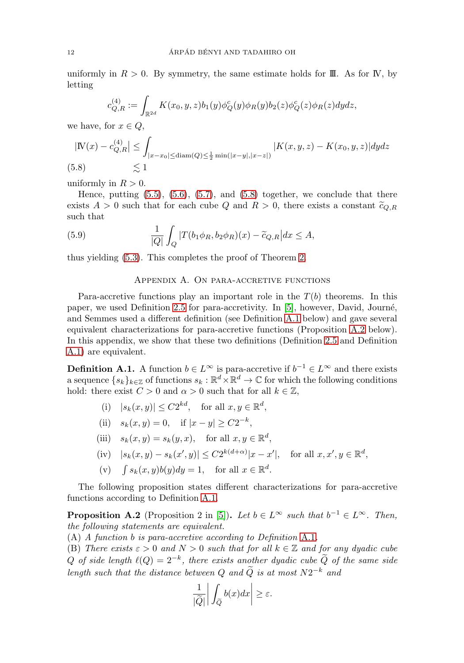uniformly in  $R > 0$ . By symmetry, the same estimate holds for III. As for IV, by letting

$$
c_{Q,R}^{(4)} := \int_{\mathbb{R}^{2d}} K(x_0, y, z) b_1(y) \phi_Q^c(y) \phi_R(y) b_2(z) \phi_Q^c(z) \phi_R(z) dy dz,
$$

we have, for  $x \in Q$ ,

$$
|W(x) - c_{Q,R}^{(4)}| \le \int_{|x - x_0| \le \text{diam}(Q) \le \frac{1}{2} \min(|x - y|, |x - z|)} |K(x, y, z) - K(x_0, y, z)| dy dz
$$
\n(5.8) 
$$
\lesssim 1
$$

<span id="page-11-0"></span>uniformly in  $R > 0$ .

Hence, putting  $(5.5)$ ,  $(5.6)$ ,  $(5.7)$ , and  $(5.8)$  together, we conclude that there exists  $A > 0$  such that for each cube Q and  $R > 0$ , there exists a constant  $\tilde{c}_{Q,R}$ such that

(5.9) 
$$
\frac{1}{|Q|}\int_Q |T(b_1\phi_R, b_2\phi_R)(x) - \tilde{c}_{Q,R}|dx \leq A,
$$

thus yielding [\(5.3\)](#page-10-2). This completes the proof of Theorem [2.](#page-6-1)

### Appendix A. On para-accretive functions

Para-accretive functions play an important role in the  $T(b)$  theorems. In this paper, we used Definition [2.5](#page-2-3) for para-accretivity. In [\[5\]](#page-14-1), however, David, Journ´e, and Semmes used a different definition (see Definition [A.1](#page-11-1) below) and gave several equivalent characterizations for para-accretive functions (Proposition [A.2](#page-11-2) below). In this appendix, we show that these two definitions (Definition [2.5](#page-2-3) and Definition [A.1\)](#page-11-1) are equivalent.

<span id="page-11-1"></span>**Definition A.1.** A function  $b \in L^{\infty}$  is para-accretive if  $b^{-1} \in L^{\infty}$  and there exists a sequence  $\{s_k\}_{k\in\mathbb{Z}}$  of functions  $s_k:\mathbb{R}^d\times\mathbb{R}^d\to\mathbb{C}$  for which the following conditions hold: there exist  $C > 0$  and  $\alpha > 0$  such that for all  $k \in \mathbb{Z}$ ,

- (i)  $|s_k(x, y)| \leq C2^{kd}$ , for all  $x, y \in \mathbb{R}^d$ ,
- (ii)  $s_k(x, y) = 0$ , if  $|x y| > C2^{-k}$ ,
- (iii)  $s_k(x, y) = s_k(y, x)$ , for all  $x, y \in \mathbb{R}^d$ ,

(iv) 
$$
|s_k(x, y) - s_k(x', y)| \le C2^{k(d+\alpha)}|x - x'|
$$
, for all  $x, x', y \in \mathbb{R}^d$ ,

(v)  $\int s_k(x, y)b(y)dy = 1$ , for all  $x \in \mathbb{R}^d$ .

The following proposition states different characterizations for para-accretive functions according to Definition [A.1.](#page-11-1)

<span id="page-11-2"></span>**Proposition A.2** (Proposition 2 in [\[5\]](#page-14-1))**.** Let  $b \in L^{\infty}$  such that  $b^{-1} \in L^{\infty}$ . Then, the following statements are equivalent.

(A) A function b is para-accretive according to Definition [A.1](#page-11-1).

(B) There exists  $\varepsilon > 0$  and  $N > 0$  such that for all  $k \in \mathbb{Z}$  and for any dyadic cube Q of side length  $\ell(Q)=2^{-k}$ , there exists another dyadic cube  $\tilde{Q}$  of the same side length such that the distance between Q and  $\tilde{Q}$  is at most  $N2^{-k}$  and

$$
\begin{aligned}\n\text{tween } Q \text{ and } \widetilde{Q} \text{ is a} \\
\frac{1}{|\widetilde{Q}|} \left| \int_{\widetilde{Q}} b(x) dx \right| &\geq \varepsilon.\n\end{aligned}
$$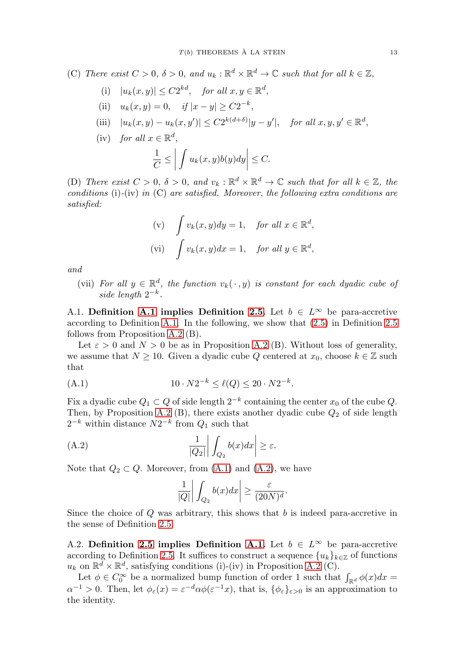(C) There exist  $C > 0$ ,  $\delta > 0$ , and  $u_k : \mathbb{R}^d \times \mathbb{R}^d \to \mathbb{C}$  such that for all  $k \in \mathbb{Z}$ ,

- (i)  $|u_k(x, y)| \leq C2^{kd}$ , for all  $x, y \in \mathbb{R}^d$ ,
- (ii)  $u_k(x, y) = 0$ , if  $|x y| \ge C2^{-k}$ ,
- (iii)  $|u_k(x, y) u_k(x, y')| \le C2^{k(d+\delta)} |y y'|$ , for all  $x, y, y' \in \mathbb{R}^d$ ,
- (iv) for all  $x \in \mathbb{R}^d$ .  $\frac{1}{C} \leq$  $\begin{array}{c} \begin{array}{c} \begin{array}{c} \end{array} \\ \begin{array}{c} \end{array} \end{array} \end{array}$  $\int u_k(x,y)b(y)dy$  $\begin{array}{c} \begin{array}{c} \begin{array}{c} \end{array} \\ \begin{array}{c} \end{array} \end{array} \end{array}$  $\leq C.$

(D) There exist  $C > 0$ ,  $\delta > 0$ , and  $v_k : \mathbb{R}^d \times \mathbb{R}^d \to \mathbb{C}$  such that for all  $k \in \mathbb{Z}$ , the conditions (i)-(iv) in  $(C)$  are satisfied. Moreover, the following extra conditions are satisfied:

(v) 
$$
\int v_k(x, y) dy = 1
$$
, for all  $x \in \mathbb{R}^d$ ,  
\n(vi)  $\int v_k(x, y) dx = 1$ , for all  $y \in \mathbb{R}^d$ ,

and

(vii) For all  $y \in \mathbb{R}^d$ , the function  $v_k(\cdot, y)$  is constant for each dyadic cube of side length  $2^{-k}$ .

A.1. **Definition** [A.1](#page-11-1) **implies** Definition [2.5.](#page-2-3) Let  $b \in L^{\infty}$  be para-accretive according to Definition [A.1.](#page-11-1) In the following, we show that [\(2.5\)](#page-2-2) in Definition [2.5](#page-2-3) follows from Proposition [A.2](#page-11-2) (B).

Let  $\varepsilon > 0$  and  $N > 0$  be as in Proposition [A.2](#page-11-2) (B). Without loss of generality, we assume that  $N \geq 10$ . Given a dyadic cube Q centered at  $x_0$ , choose  $k \in \mathbb{Z}$  such that

<span id="page-12-0"></span>(A.1) 
$$
10 \cdot N2^{-k} \le \ell(Q) \le 20 \cdot N2^{-k}.
$$

Fix a dyadic cube  $Q_1 \subset Q$  of side length  $2^{-k}$  containing the center  $x_0$  of the cube  $Q$ . Then, by Proposition [A.2](#page-11-2) (B), there exists another dyadic cube  $Q_2$  of side length  $2^{-k}$  within distance  $N2^{-k}$  from  $Q_1$  such that

<span id="page-12-1"></span>(A.2) 
$$
\frac{1}{|Q_2|}\bigg|\int_{Q_2} b(x)dx\bigg|\geq \varepsilon.
$$

Note that  $Q_2 \subset Q$ . Moreover, from  $(A.1)$  and  $(A.2)$ , we have

$$
\frac{1}{|Q|}\bigg|\int_{Q_2}b(x)dx\bigg|\geq \frac{\varepsilon}{(20N)^d}.
$$

Since the choice of  $Q$  was arbitrary, this shows that  $b$  is indeed para-accretive in the sense of Definition [2.5.](#page-2-3)

A.2. **Definition** [2.5](#page-2-3) **implies Definition [A.1.](#page-11-1)** Let  $b \in L^{\infty}$  be para-accretive according to Definition [2.5.](#page-2-3) It suffices to construct a sequence  ${u_k}_{k \in \mathbb{Z}}$  of functions  $u_k$  on  $\mathbb{R}^d \times \mathbb{R}^d$ , satisfying conditions (i)-(iv) in Proposition [A.2](#page-11-2) (C).

Let  $\phi \in C_0^{\infty}$  be a normalized bump function of order 1 such that  $\int_{\mathbb{R}^d} \phi(x) dx =$  $\alpha^{-1} > 0$ . Then, let  $\phi_{\varepsilon}(x) = \varepsilon^{-d} \alpha \phi(\varepsilon^{-1}x)$ , that is,  $\{\phi_{\varepsilon}\}_{{\varepsilon}>0}$  is an approximation to the identity.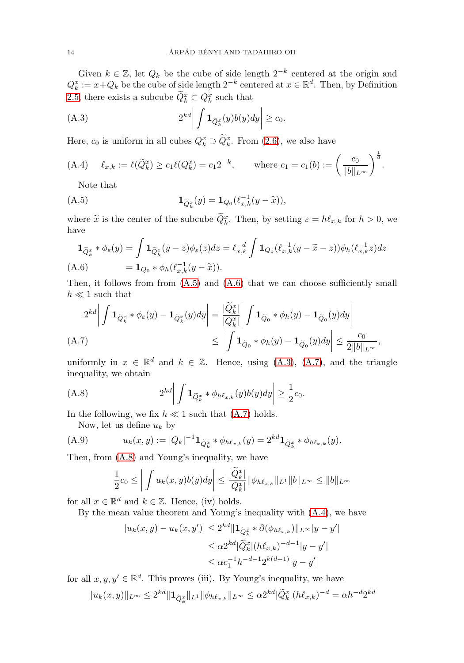Given  $k \in \mathbb{Z}$ , let  $Q_k$  be the cube of side length  $2^{-k}$  centered at the origin and  $Q_k^x := x + Q_k$  be the cube of side length  $2^{-k}$  centered at  $x \in \mathbb{R}^d$ . Then, by Definition [2.5,](#page-2-3) there exists a subcube  $\widetilde{Q}_k^x \subset Q_k^x$  such that  $\mathfrak{g}$ tı $\frac{x}{k}$  s $\mathbf{1}_{\widetilde{Q}}$ 

<span id="page-13-2"></span>(A.3) 
$$
2^{kd} \left| \int \mathbf{1}_{\widetilde{Q}_k^x}(y) b(y) dy \right| \geq c_0.
$$

Here,  $c_0$  is uniform in all cubes  $Q_k^x \supset Q_k^x$ . From [\(2.6\)](#page-2-4), we also have

<span id="page-13-5"></span>(A.4) 
$$
\ell_{x,k} := \ell(\widetilde{Q}_k^x) \ge c_1 \ell(Q_k^x) = c_1 2^{-k}
$$
, where  $c_1 = c_1(b) := \left(\frac{c_0}{\|b\|_{L^{\infty}}}\right)^{\frac{1}{d}}$ .  
\nNote that  
\n(A.5)  $\mathbf{1}_{\widetilde{Q}_k^x}(y) = \mathbf{1}_{Q_0}(\ell_{x,k}^{-1}(y - \widetilde{x})),$ 

Note that

<span id="page-13-0"></span>
$$
\mathbf{1}_{\widetilde{Q}_k^x}(y) = \mathbf{1}_{Q_0}(\ell_{x,k}^{-1}(y - \widetilde{x})),
$$

where  $\tilde{x}$  is the center of the subcube  $\tilde{Q}_k^x$ . Then, by setting  $\varepsilon = h\ell_{x,k}$  for  $h > 0$ , we have<br>  $\mathbf{1}_{\tilde{Q}_k^x} * \phi_{\varepsilon}(y) = \int \mathbf{1}_{\tilde{Q}_k^x}(y-z)\phi_{\varepsilon}(z)dz = \ell_{x,k}^{-d} \int \mathbf{1}_{Q_0}(\ell_{x,k}^{-1}(y-\tilde{x}-z))\phi_h(\ell_{x,k}^{-1}z)$ have

$$
\mathbf{1}_{\widetilde{Q}_k^x} * \phi_{\varepsilon}(y) = \int \mathbf{1}_{\widetilde{Q}_k^x}(y - z) \phi_{\varepsilon}(z) dz = \ell_{x,k}^{-d} \int \mathbf{1}_{Q_0} (\ell_{x,k}^{-1}(y - \widetilde{x} - z)) \phi_h(\ell_{x,k}^{-1} z) dz
$$
  
(A.6) 
$$
= \mathbf{1}_{Q_0} * \phi_h(\ell_{x,k}^{-1}(y - \widetilde{x})).
$$

<span id="page-13-1"></span>Then, it follows from from [\(A.5\)](#page-13-0) and [\(A.6\)](#page-13-1) that we can choose sufficiently small  $h \ll 1$  such that<br>  $2^{kd} \left| \int \mathbf{1}_{\widetilde{Q}^x_k} * \phi_{\varepsilon}(y) - \mathbf{1}_{\widetilde{Q}^x_k}(y) dy \right| = \frac{|\widetilde{Q}^x_k|}{|O^x|} \left| \int \mathbf{1}_{\widetilde{Q}_0} * \phi_h(y) - \mathbf{1}_{\widetilde$  $h \ll 1$  such that  $1$ lov $1_{\widetilde{Q}}$ 

$$
2^{kd} \left| \int \mathbf{1}_{\widetilde{Q}_k^x} * \phi_{\varepsilon}(y) - \mathbf{1}_{\widetilde{Q}_k^x}(y) dy \right| = \frac{|\widetilde{Q}_k^x|}{|Q_k^x|} \left| \int \mathbf{1}_{\widetilde{Q}_0} * \phi_h(y) - \mathbf{1}_{\widetilde{Q}_0}(y) dy \right|
$$
  
(A.7)  

$$
\leq \left| \int \mathbf{1}_{\widetilde{Q}_0} * \phi_h(y) - \mathbf{1}_{\widetilde{Q}_0}(y) dy \right| \leq \frac{c_0}{2 \|b\|_{L^{\infty}}},
$$

<span id="page-13-3"></span>uniformly in  $x \in \mathbb{R}^d$  and  $k \in \mathbb{Z}$ . Hence, using [\(A.3\)](#page-13-2), [\(A.7\)](#page-13-3), and the triangle<br>inequality, we obtain<br>(A.8)  $2^{kd} \left| \int \mathbf{1}_{\tilde{Q}_k^x} * \phi_{h\ell_{x,k}}(y)b(y)dy \right| \ge \frac{1}{2}c_0$ . inequality, we obtain

<span id="page-13-4"></span>(A.8) 
$$
2^{kd} \left| \int \mathbf{1}_{\widetilde{Q}_k^x} * \phi_{h\ell_{x,k}}(y) b(y) dy \right| \geq \frac{1}{2} c_0.
$$

<span id="page-13-6"></span>Now, let us define  $u_k$  by

In the following, we fix 
$$
h \ll 1
$$
 such that (A.7) holds.  
Now, let us define  $u_k$  by  
(A.9) 
$$
u_k(x, y) := |Q_k|^{-1} \mathbf{1}_{\tilde{Q}_k^x} * \phi_{h\ell_{x,k}}(y) = 2^{kd} \mathbf{1}_{\tilde{Q}_k^x} * \phi_{h\ell_{x,k}}(y).
$$

Then, from [\(A.8\)](#page-13-4) and Young's inequality, we have

$$
\frac{1}{2}c_0 \le \left| \int u_k(x, y)b(y)dy \right| \le \frac{|\widetilde{Q}_k^x|}{|Q_k^x|} \|\phi_{h\ell_{x,k}}\|_{L^1} \|b\|_{L^\infty} \le \|b\|_{L^\infty}
$$

for all  $x \in \mathbb{R}^d$  and  $k \in \mathbb{Z}$ . Hence, (iv) holds.<br>By the mean value theorem and Young's i<br> $|u_k(x, y) - u_k(x, y')| \leq 2^{kd} ||\mathbf{1}_{\widetilde{Q}}$ 

By the mean value theorem and Young's inequality with [\(A.4\)](#page-13-5), we have

$$
|u_k(x, y) - u_k(x, y')| \le 2^{kd} \|\mathbf{1}_{\widetilde{Q}_k^x} * \partial(\phi_{h\ell_{x,k}})\|_{L^\infty} |y - y'|
$$
  
\n
$$
\le \alpha 2^{kd} |\widetilde{Q}_k^x| (h\ell_{x,k})^{-d-1} |y - y'|
$$
  
\n
$$
\le \alpha c_1^{-1} h^{-d-1} 2^{k(d+1)} |y - y'|
$$

for all  $x, y, y' \in \mathbb{R}^d$ . This proves (iii). By Young's inequality, we have

$$
\leq \alpha c_1 \cdot h^{(d-1)}|y-y|
$$
  
1  $x, y, y' \in \mathbb{R}^d$ . This proves (iii). By Young's inequality, we have  

$$
||u_k(x,y)||_{L^{\infty}} \leq 2^{kd} ||\mathbf{1}_{\widetilde{Q}_k^x}||_{L^1} ||\phi_{h\ell_{x,k}}||_{L^{\infty}} \leq \alpha 2^{kd} |\widetilde{Q}_k^x| (h\ell_{x,k})^{-d} = \alpha h^{-d} 2^{kd}
$$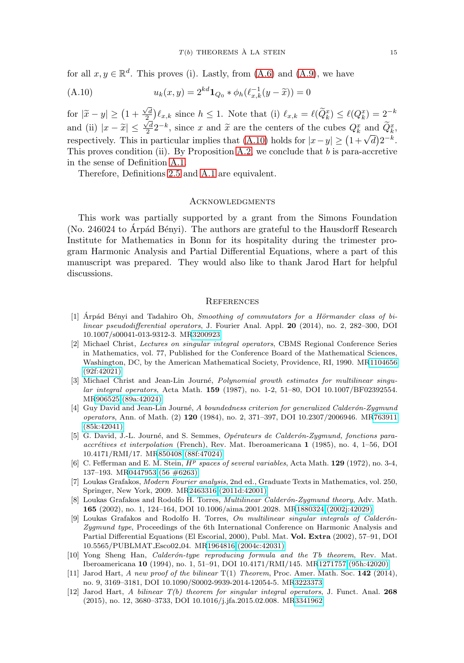for all  $x, y \in \mathbb{R}^d$ . This proves (i). Lastly, from [\(A.6\)](#page-13-1) and [\(A.9\)](#page-13-6), we have

<span id="page-14-11"></span>(A.10) 
$$
u_k(x,y) = 2^{kd} \mathbf{1}_{Q_0} * \phi_h(\ell_{x,k}^{-1}(y - \widetilde{x})) = 0
$$

for  $|\tilde{x} - y| \ge (1 + \frac{\sqrt{d}}{2}) \ell_{x,k}$  since  $h \le 1$ . Note that (i)  $\ell_{x,k} = \ell(\tilde{Q}_k^x) \le \ell(Q_k^x) = 2^{-k}$ and (ii)  $|x - \tilde{x}| \le \frac{\sqrt{d}}{2} 2^{-k}$ , since x and  $\tilde{x}$  are the centers of the cubes  $Q_k^x$  and  $\tilde{Q}_k^x$ , respectively. This in particular implies that [\(A.10\)](#page-14-11) holds for  $|x-y| \ge (1+\sqrt{d})2^{-k}$ . This proves condition (ii). By Proposition [A.2,](#page-11-2) we conclude that b is para-accretive in the sense of Definition [A.1.](#page-11-1)

Therefore, Definitions [2.5](#page-2-3) and [A.1](#page-11-1) are equivalent.

#### **ACKNOWLEDGMENTS**

This work was partially supported by a grant from the Simons Foundation (No. 246024 to Arpád Bényi). The authors are grateful to the Hausdorff Research Institute for Mathematics in Bonn for its hospitality during the trimester program Harmonic Analysis and Partial Differential Equations, where a part of this manuscript was prepared. They would also like to thank Jarod Hart for helpful discussions.

#### **REFERENCES**

- <span id="page-14-8"></span>[1] Arpád Bényi and Tadahiro Oh, Smoothing of commutators for a Hörmander class of bilinear pseudodifferential operators, J. Fourier Anal. Appl. **20** (2014), no. 2, 282–300, DOI 10.1007/s00041-013-9312-3. M[R3200923](http://www.ams.org/mathscinet-getitem?mr=3200923)
- <span id="page-14-7"></span>[2] Michael Christ, Lectures on singular integral operators, CBMS Regional Conference Series in Mathematics, vol. 77, Published for the Conference Board of the Mathematical Sciences, Washington, DC, by the American Mathematical Society, Providence, RI, 1990. M[R1104656](http://www.ams.org/mathscinet-getitem?mr=1104656) [\(92f:42021\)](http://www.ams.org/mathscinet-getitem?mr=1104656)
- <span id="page-14-9"></span>[3] Michael Christ and Jean-Lin Journé, Polynomial growth estimates for multilinear singular integral operators, Acta Math. **159** (1987), no. 1-2, 51–80, DOI 10.1007/BF02392554. M[R906525 \(89a:42024\)](http://www.ams.org/mathscinet-getitem?mr=906525)
- <span id="page-14-0"></span>[4] Guy David and Jean-Lin Journé, A boundedness criterion for generalized Calderón-Zygmund operators, Ann. of Math. (2) **120** (1984), no. 2, 371–397, DOI 10.2307/2006946. M[R763911](http://www.ams.org/mathscinet-getitem?mr=763911) [\(85k:42041\)](http://www.ams.org/mathscinet-getitem?mr=763911)
- <span id="page-14-1"></span>[5] G. David, J.-L. Journé, and S. Semmes, Opérateurs de Calderón-Zygmund, fonctions paraaccrétives et interpolation (French), Rev. Mat. Iberoamericana 1 (1985), no. 4, 1–56, DOI 10.4171/RMI/17. M[R850408 \(88f:47024\)](http://www.ams.org/mathscinet-getitem?mr=850408)
- <span id="page-14-2"></span>[6] C. Fefferman and E. M. Stein, H<sup>p</sup> spaces of several variables, Acta Math. **129** (1972), no. 3-4, 137–193. M[R0447953 \(56 #6263\)](http://www.ams.org/mathscinet-getitem?mr=0447953)
- <span id="page-14-10"></span>[7] Loukas Grafakos, Modern Fourier analysis, 2nd ed., Graduate Texts in Mathematics, vol. 250, Springer, New York, 2009. M[R2463316 \(2011d:42001\)](http://www.ams.org/mathscinet-getitem?mr=2463316)
- <span id="page-14-3"></span>[8] Loukas Grafakos and Rodolfo H. Torres, *Multilinear Calderón-Zygmund theory*, Adv. Math. **165** (2002), no. 1, 124–164, DOI 10.1006/aima.2001.2028. M[R1880324 \(2002j:42029\)](http://www.ams.org/mathscinet-getitem?mr=1880324)
- [9] Loukas Grafakos and Rodolfo H. Torres, On multilinear singular integrals of Calderón-Zygmund type, Proceedings of the 6th International Conference on Harmonic Analysis and Partial Differential Equations (El Escorial, 2000), Publ. Mat. **Vol. Extra** (2002), 57–91, DOI 10.5565/PUBLMAT Esco02 04. M[R1964816 \(2004c:42031\)](http://www.ams.org/mathscinet-getitem?mr=1964816)
- <span id="page-14-6"></span>[10] Yong Sheng Han, *Calderón-type reproducing formula and the Tb theorem*, Rev. Mat. Iberoamericana **10** (1994), no. 1, 51–91, DOI 10.4171/RMI/145. M[R1271757 \(95h:42020\)](http://www.ams.org/mathscinet-getitem?mr=1271757)
- <span id="page-14-5"></span>[11] Jarod Hart, A new proof of the bilinear T(1) Theorem, Proc. Amer. Math. Soc. **142** (2014), no. 9, 3169–3181, DOI 10.1090/S0002-9939-2014-12054-5. M[R3223373](http://www.ams.org/mathscinet-getitem?mr=3223373)
- <span id="page-14-4"></span>[12] Jarod Hart, A bilinear T(b) theorem for singular integral operators, J. Funct. Anal. **268** (2015), no. 12, 3680–3733, DOI 10.1016/j.jfa.2015.02.008. M[R3341962](http://www.ams.org/mathscinet-getitem?mr=3341962)